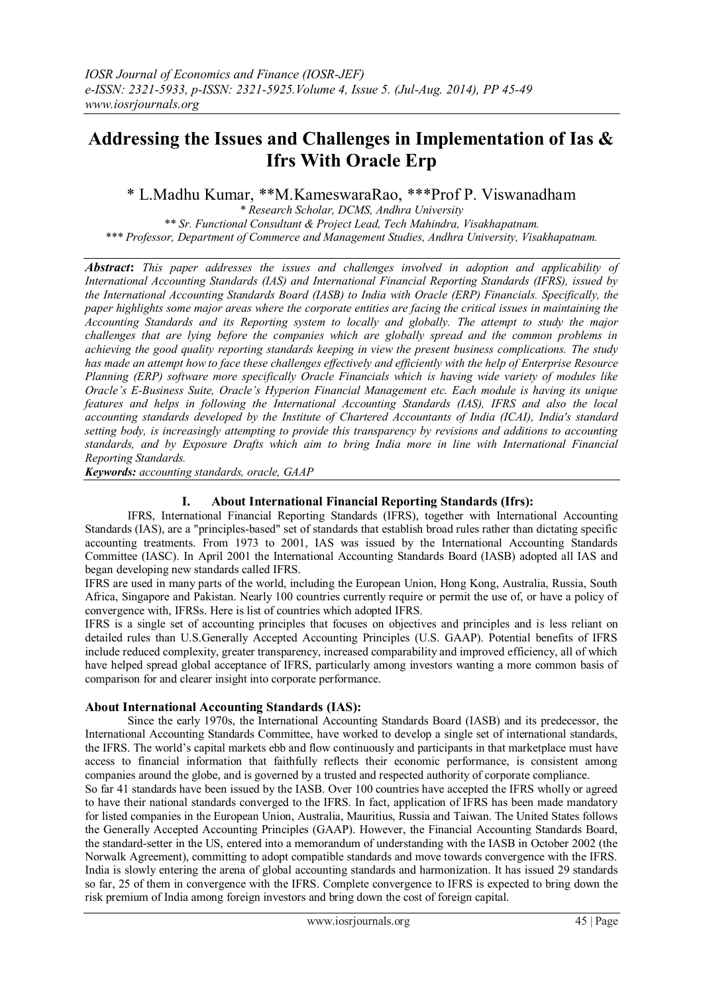# **Addressing the Issues and Challenges in Implementation of Ias & Ifrs With Oracle Erp**

\* L.Madhu Kumar, \*\*M.KameswaraRao, \*\*\*Prof P. Viswanadham

*\* Research Scholar, DCMS, Andhra University \*\* Sr. Functional Consultant & Project Lead, Tech Mahindra, Visakhapatnam. \*\*\* Professor, Department of Commerce and Management Studies, Andhra University, Visakhapatnam.*

*Abstract***:** *This paper addresses the issues and challenges involved in adoption and applicability of International Accounting Standards (IAS) and International Financial Reporting Standards (IFRS), issued by the International Accounting Standards Board (IASB) to India with Oracle (ERP) Financials. Specifically, the paper highlights some major areas where the corporate entities are facing the critical issues in maintaining the Accounting Standards and its Reporting system to locally and globally. The attempt to study the major challenges that are lying before the companies which are globally spread and the common problems in achieving the good quality reporting standards keeping in view the present business complications. The study has made an attempt how to face these challenges effectively and efficiently with the help of Enterprise Resource Planning (ERP) software more specifically Oracle Financials which is having wide variety of modules like Oracle's E-Business Suite, Oracle's Hyperion Financial Management etc. Each module is having its unique features and helps in following the International Accounting Standards (IAS), IFRS and also the local accounting standards developed by the Institute of Chartered Accountants of India (ICAI), India's standard setting body, is increasingly attempting to provide this transparency by revisions and additions to accounting standards, and by Exposure Drafts which aim to bring India more in line with International Financial Reporting Standards.*

*Keywords: accounting standards, oracle, GAAP*

## **I. About International Financial Reporting Standards (Ifrs):**

IFRS, International Financial Reporting Standards (IFRS), together with International Accounting Standards (IAS), are a "principles-based" set of standards that establish broad rules rather than dictating specific accounting treatments. From 1973 to 2001, IAS was issued by the International Accounting Standards Committee (IASC). In April 2001 the International Accounting Standards Board (IASB) adopted all IAS and began developing new standards called IFRS.

IFRS are used in many parts of the world, including the European Union, Hong Kong, Australia, Russia, South Africa, Singapore and Pakistan. Nearly 100 countries currently require or permit the use of, or have a policy of convergence with, IFRSs. Here is list of countries which adopted IFRS.

IFRS is a single set of accounting principles that focuses on objectives and principles and is less reliant on detailed rules than U.S.Generally Accepted Accounting Principles (U.S. GAAP). Potential benefits of IFRS include reduced complexity, greater transparency, increased comparability and improved efficiency, all of which have helped spread global acceptance of IFRS, particularly among investors wanting a more common basis of comparison for and clearer insight into corporate performance.

## **About International Accounting Standards (IAS):**

Since the early 1970s, the International Accounting Standards Board (IASB) and its predecessor, the International Accounting Standards Committee, have worked to develop a single set of international standards, the IFRS. The world's capital markets ebb and flow continuously and participants in that marketplace must have access to financial information that faithfully reflects their economic performance, is consistent among companies around the globe, and is governed by a trusted and respected authority of corporate compliance.

So far 41 standards have been issued by the IASB. Over 100 countries have accepted the IFRS wholly or agreed to have their national standards converged to the IFRS. In fact, application of IFRS has been made mandatory for listed companies in the European Union, Australia, Mauritius, Russia and Taiwan. The United States follows the Generally Accepted Accounting Principles (GAAP). However, the Financial Accounting Standards Board, the standard-setter in the US, entered into a memorandum of understanding with the IASB in October 2002 (the Norwalk Agreement), committing to adopt compatible standards and move towards convergence with the IFRS. India is slowly entering the arena of global accounting standards and harmonization. It has issued 29 standards so far, 25 of them in convergence with the IFRS. Complete convergence to IFRS is expected to bring down the risk premium of India among foreign investors and bring down the cost of foreign capital.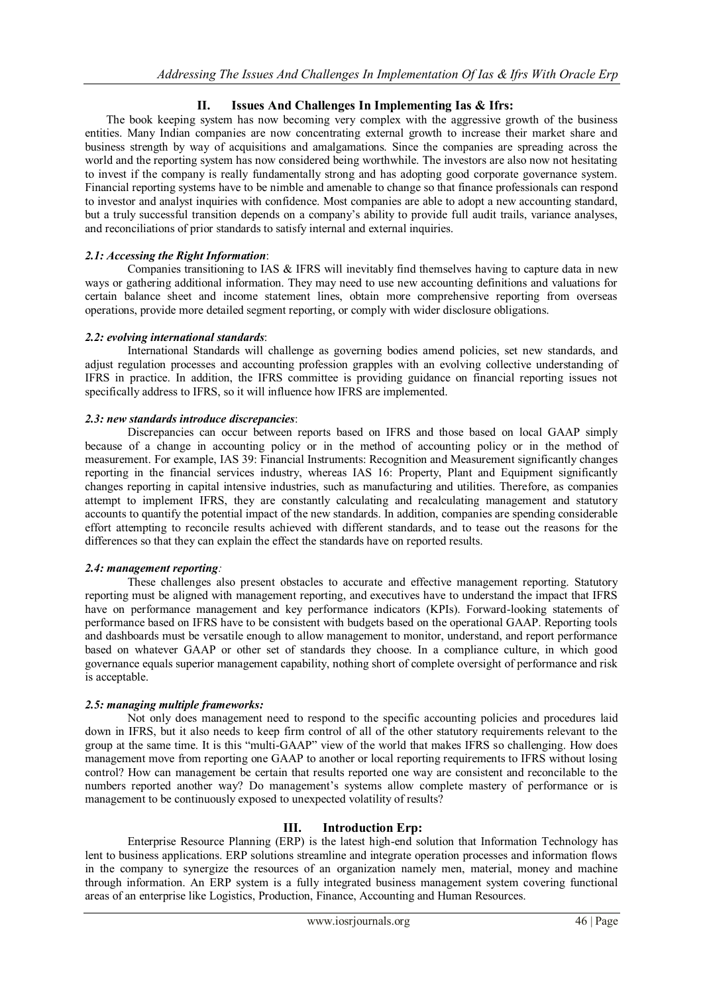# **II. Issues And Challenges In Implementing Ias & Ifrs:**

The book keeping system has now becoming very complex with the aggressive growth of the business entities. Many Indian companies are now concentrating external growth to increase their market share and business strength by way of acquisitions and amalgamations. Since the companies are spreading across the world and the reporting system has now considered being worthwhile. The investors are also now not hesitating to invest if the company is really fundamentally strong and has adopting good corporate governance system. Financial reporting systems have to be nimble and amenable to change so that finance professionals can respond to investor and analyst inquiries with confidence. Most companies are able to adopt a new accounting standard, but a truly successful transition depends on a company's ability to provide full audit trails, variance analyses, and reconciliations of prior standards to satisfy internal and external inquiries.

## *2.1: Accessing the Right Information*:

Companies transitioning to IAS & IFRS will inevitably find themselves having to capture data in new ways or gathering additional information. They may need to use new accounting definitions and valuations for certain balance sheet and income statement lines, obtain more comprehensive reporting from overseas operations, provide more detailed segment reporting, or comply with wider disclosure obligations.

## *2.2: evolving international standards*:

International Standards will challenge as governing bodies amend policies, set new standards, and adjust regulation processes and accounting profession grapples with an evolving collective understanding of IFRS in practice. In addition, the IFRS committee is providing guidance on financial reporting issues not specifically address to IFRS, so it will influence how IFRS are implemented.

## *2.3: new standards introduce discrepancies*:

Discrepancies can occur between reports based on IFRS and those based on local GAAP simply because of a change in accounting policy or in the method of accounting policy or in the method of measurement. For example, IAS 39: Financial Instruments: Recognition and Measurement significantly changes reporting in the financial services industry, whereas IAS 16: Property, Plant and Equipment significantly changes reporting in capital intensive industries, such as manufacturing and utilities. Therefore, as companies attempt to implement IFRS, they are constantly calculating and recalculating management and statutory accounts to quantify the potential impact of the new standards. In addition, companies are spending considerable effort attempting to reconcile results achieved with different standards, and to tease out the reasons for the differences so that they can explain the effect the standards have on reported results.

# *2.4: management reporting:*

These challenges also present obstacles to accurate and effective management reporting. Statutory reporting must be aligned with management reporting, and executives have to understand the impact that IFRS have on performance management and key performance indicators (KPIs). Forward-looking statements of performance based on IFRS have to be consistent with budgets based on the operational GAAP. Reporting tools and dashboards must be versatile enough to allow management to monitor, understand, and report performance based on whatever GAAP or other set of standards they choose. In a compliance culture, in which good governance equals superior management capability, nothing short of complete oversight of performance and risk is acceptable.

## *2.5: managing multiple frameworks:*

Not only does management need to respond to the specific accounting policies and procedures laid down in IFRS, but it also needs to keep firm control of all of the other statutory requirements relevant to the group at the same time. It is this "multi-GAAP" view of the world that makes IFRS so challenging. How does management move from reporting one GAAP to another or local reporting requirements to IFRS without losing control? How can management be certain that results reported one way are consistent and reconcilable to the numbers reported another way? Do management's systems allow complete mastery of performance or is management to be continuously exposed to unexpected volatility of results?

# **III. Introduction Erp:**

Enterprise Resource Planning (ERP) is the latest high-end solution that Information Technology has lent to business applications. ERP solutions streamline and integrate operation processes and information flows in the company to synergize the resources of an organization namely men, material, money and machine through information. An ERP system is a fully integrated business management system covering functional areas of an enterprise like Logistics, Production, Finance, Accounting and Human Resources.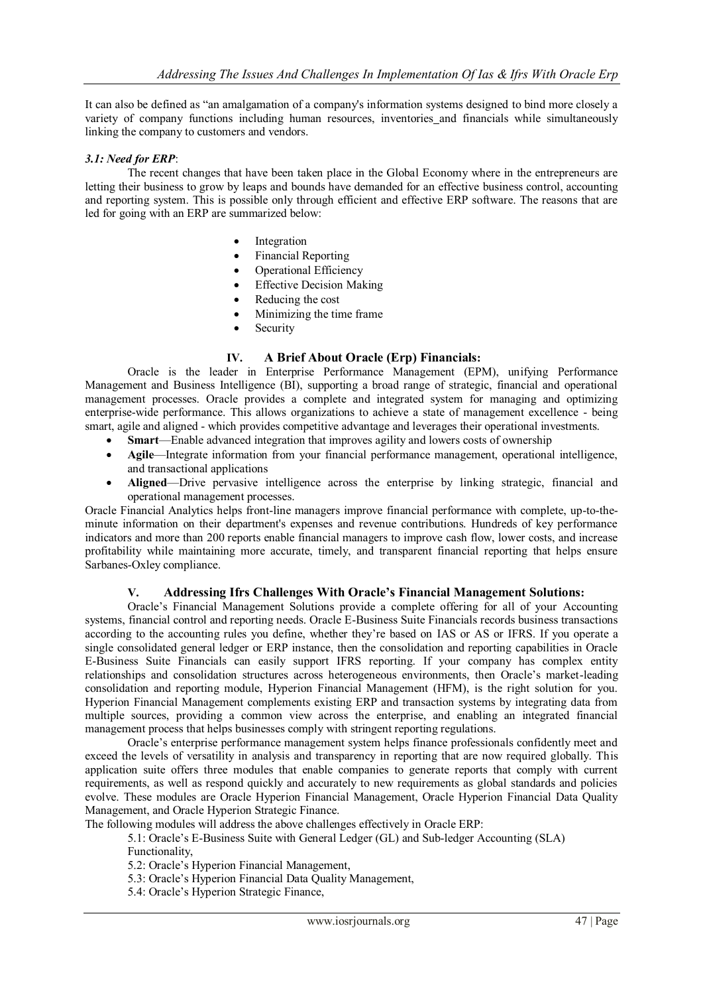It can also be defined as "an amalgamation of a company's information systems designed to bind more closely a variety of [company](http://www.investorwords.com/992/company.html) [functions](http://www.businessdictionary.com/definition/function.html) including [human resources,](http://www.businessdictionary.com/definition/human-resource.html) [inventories](http://www.investorwords.com/2589/inventory.html) and [financials](http://www.investorwords.com/5572/financial.html) while simultaneously linking the company to [customers](http://www.investorwords.com/5877/customer.html) and [vendors.](http://www.investorwords.com/5234/vendor.html)

#### *3.1: Need for ERP*:

The recent changes that have been taken place in the Global Economy where in the entrepreneurs are letting their business to grow by leaps and bounds have demanded for an effective business control, accounting and reporting system. This is possible only through efficient and effective ERP software. The reasons that are led for going with an ERP are summarized below:

- Integration
- Financial Reporting
- Operational Efficiency
- Effective Decision Making
- Reducing the cost
- Minimizing the time frame
- Security

#### **IV. A Brief About Oracle (Erp) Financials:**

Oracle is the leader in Enterprise Performance Management (EPM), unifying Performance Management and Business Intelligence (BI), supporting a broad range of strategic, financial and operational management processes. Oracle provides a complete and integrated system for managing and optimizing enterprise-wide performance. This allows organizations to achieve a state of management excellence - being smart, agile and aligned - which provides competitive advantage and leverages their operational investments.

- **Smart**—Enable advanced integration that improves agility and lowers costs of ownership
- **Agile**—Integrate information from your financial performance management, operational intelligence, and transactional applications
- **Aligned**—Drive pervasive intelligence across the enterprise by linking strategic, financial and operational management processes.

Oracle Financial Analytics helps front-line managers improve financial performance with complete, up-to-theminute information on their department's expenses and revenue contributions. Hundreds of key performance indicators and more than 200 reports enable financial managers to improve cash flow, lower costs, and increase profitability while maintaining more accurate, timely, and transparent financial reporting that helps ensure Sarbanes-Oxley compliance.

## **V. Addressing Ifrs Challenges With Oracle's Financial Management Solutions:**

Oracle's Financial Management Solutions provide a complete offering for all of your Accounting systems, financial control and reporting needs. Oracle E-Business Suite Financials records business transactions according to the accounting rules you define, whether they're based on IAS or AS or IFRS. If you operate a single consolidated general ledger or ERP instance, then the consolidation and reporting capabilities in Oracle E-Business Suite Financials can easily support IFRS reporting. If your company has complex entity relationships and consolidation structures across heterogeneous environments, then Oracle's market-leading consolidation and reporting module, Hyperion Financial Management (HFM), is the right solution for you. Hyperion Financial Management complements existing ERP and transaction systems by integrating data from multiple sources, providing a common view across the enterprise, and enabling an integrated financial management process that helps businesses comply with stringent reporting regulations.

Oracle's enterprise performance management system helps finance professionals confidently meet and exceed the levels of versatility in analysis and transparency in reporting that are now required globally. This application suite offers three modules that enable companies to generate reports that comply with current requirements, as well as respond quickly and accurately to new requirements as global standards and policies evolve. These modules are Oracle Hyperion Financial Management, Oracle Hyperion Financial Data Quality Management, and Oracle Hyperion Strategic Finance.

The following modules will address the above challenges effectively in Oracle ERP:

5.1: Oracle's E-Business Suite with General Ledger (GL) and Sub-ledger Accounting (SLA)

Functionality,

5.2: Oracle's Hyperion Financial Management,

5.3: Oracle's Hyperion Financial Data Quality Management,

5.4: Oracle's Hyperion Strategic Finance,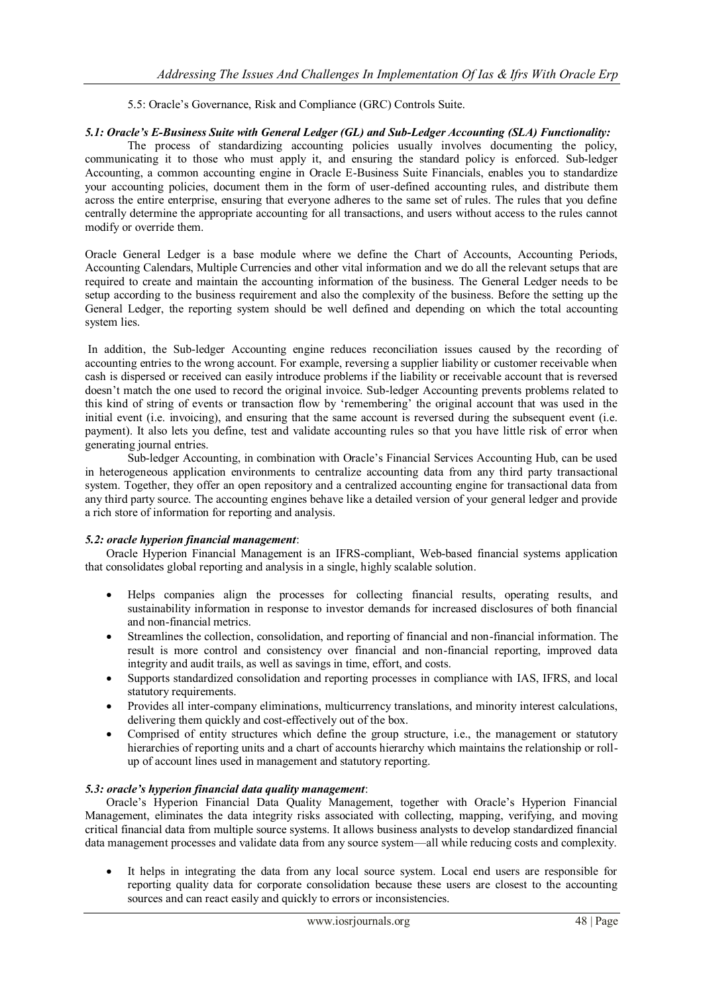5.5: Oracle's Governance, Risk and Compliance (GRC) Controls Suite.

#### *5.1: Oracle's E-Business Suite with General Ledger (GL) and Sub-Ledger Accounting (SLA) Functionality:*

The process of standardizing accounting policies usually involves documenting the policy, communicating it to those who must apply it, and ensuring the standard policy is enforced. Sub-ledger Accounting, a common accounting engine in Oracle E-Business Suite Financials, enables you to standardize your accounting policies, document them in the form of user-defined accounting rules, and distribute them across the entire enterprise, ensuring that everyone adheres to the same set of rules. The rules that you define centrally determine the appropriate accounting for all transactions, and users without access to the rules cannot modify or override them.

Oracle General Ledger is a base module where we define the Chart of Accounts, Accounting Periods, Accounting Calendars, Multiple Currencies and other vital information and we do all the relevant setups that are required to create and maintain the accounting information of the business. The General Ledger needs to be setup according to the business requirement and also the complexity of the business. Before the setting up the General Ledger, the reporting system should be well defined and depending on which the total accounting system lies.

In addition, the Sub-ledger Accounting engine reduces reconciliation issues caused by the recording of accounting entries to the wrong account. For example, reversing a supplier liability or customer receivable when cash is dispersed or received can easily introduce problems if the liability or receivable account that is reversed doesn't match the one used to record the original invoice. Sub-ledger Accounting prevents problems related to this kind of string of events or transaction flow by 'remembering' the original account that was used in the initial event (i.e. invoicing), and ensuring that the same account is reversed during the subsequent event (i.e. payment). It also lets you define, test and validate accounting rules so that you have little risk of error when generating journal entries.

Sub-ledger Accounting, in combination with Oracle's Financial Services Accounting Hub, can be used in heterogeneous application environments to centralize accounting data from any third party transactional system. Together, they offer an open repository and a centralized accounting engine for transactional data from any third party source. The accounting engines behave like a detailed version of your general ledger and provide a rich store of information for reporting and analysis.

#### *5.2: oracle hyperion financial management*:

Oracle Hyperion Financial Management is an IFRS-compliant, Web-based financial systems application that consolidates global reporting and analysis in a single, highly scalable solution.

- Helps companies align the processes for collecting financial results, operating results, and sustainability information in response to investor demands for increased disclosures of both financial and non-financial metrics.
- Streamlines the collection, consolidation, and reporting of financial and non-financial information. The result is more control and consistency over financial and non-financial reporting, improved data integrity and audit trails, as well as savings in time, effort, and costs.
- Supports standardized consolidation and reporting processes in compliance with IAS, IFRS, and local statutory requirements.
- Provides all inter-company eliminations, multicurrency translations, and minority interest calculations, delivering them quickly and cost-effectively out of the box.
- Comprised of entity structures which define the group structure, i.e., the management or statutory hierarchies of reporting units and a chart of accounts hierarchy which maintains the relationship or rollup of account lines used in management and statutory reporting.

## *5.3: oracle's hyperion financial data quality management*:

Oracle's Hyperion Financial Data Quality Management, together with Oracle's Hyperion Financial Management, eliminates the data integrity risks associated with collecting, mapping, verifying, and moving critical financial data from multiple source systems. It allows business analysts to develop standardized financial data management processes and validate data from any source system—all while reducing costs and complexity.

 It helps in integrating the data from any local source system. Local end users are responsible for reporting quality data for corporate consolidation because these users are closest to the accounting sources and can react easily and quickly to errors or inconsistencies.